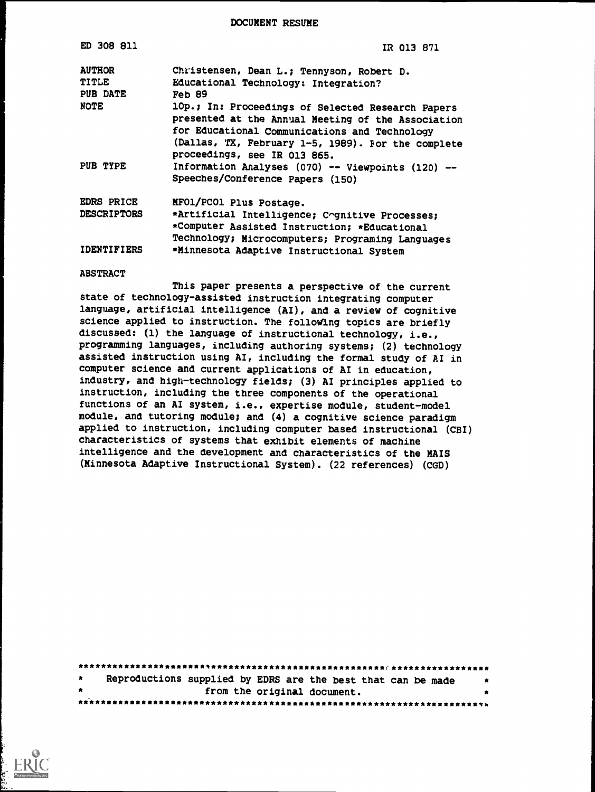DOCUMENT RESUME

| ED 308 811                                       | IR 013 871                                                                                                                                                                                                                                     |
|--------------------------------------------------|------------------------------------------------------------------------------------------------------------------------------------------------------------------------------------------------------------------------------------------------|
| <b>AUTHOR</b><br><b>TITLE</b><br><b>PUB DATE</b> | Christensen, Dean L.; Tennyson, Robert D.<br>Educational Technology: Integration?<br>Feb 89                                                                                                                                                    |
| NOTE                                             | 10p.; In: Proceedings of Selected Research Papers<br>presented at the Annual Meeting of the Association<br>for Educational Communications and Technology<br>(Dallas, TX, February 1-5, 1989). For the complete<br>proceedings, see IR 013 865. |
| PUB TYPE                                         | Information Analyses (070) -- Viewpoints (120) --<br>Speeches/Conference Papers (150)                                                                                                                                                          |
| <b>EDRS PRICE</b>                                | MFO1/PCO1 Plus Postage.                                                                                                                                                                                                                        |
| <b>DESCRIPTORS</b>                               | *Artificial Intelligence; Cognitive Processes;<br>*Computer Assisted Instruction; *Educational<br>Technology; Microcomputers; Programing Languages                                                                                             |
| <b>IDENTIFIERS</b>                               | *Minnesota Adaptive Instructional System                                                                                                                                                                                                       |
| <b>ABSTRACT</b>                                  |                                                                                                                                                                                                                                                |

This paper presents a perspective of the current state of technology-assisted instruction integrating computer language, artificial intelligence (AI), and a review of cognitive science applied to instruction. The following topics are briefly discussed: (1) the language of instructional technology, i.e., programming languages, including authoring systems; (2) technology assisted instruction using AI, including the formal study of AI in computer science and current applications of AI in education, industry, and high-technology fields; (3) AI principles applied to instruction, including the three components of the operational functions of an AI system, i.e., expertise module, student-model module, and tutoring module; and (4) a cognitive science paradigm applied to instruction, including computer based instructional (CBI) characteristics of systems that exhibit elements of machine intelligence and the development and characteristics of the MAIS (Minnesota Adaptive Instructional System). (22 references) (CGD)

| $\star$   | Reproductions supplied by EDRS are the best that can be made | $\star$ |  |  |
|-----------|--------------------------------------------------------------|---------|--|--|
| $\bullet$ | from the original document.                                  |         |  |  |
|           |                                                              |         |  |  |

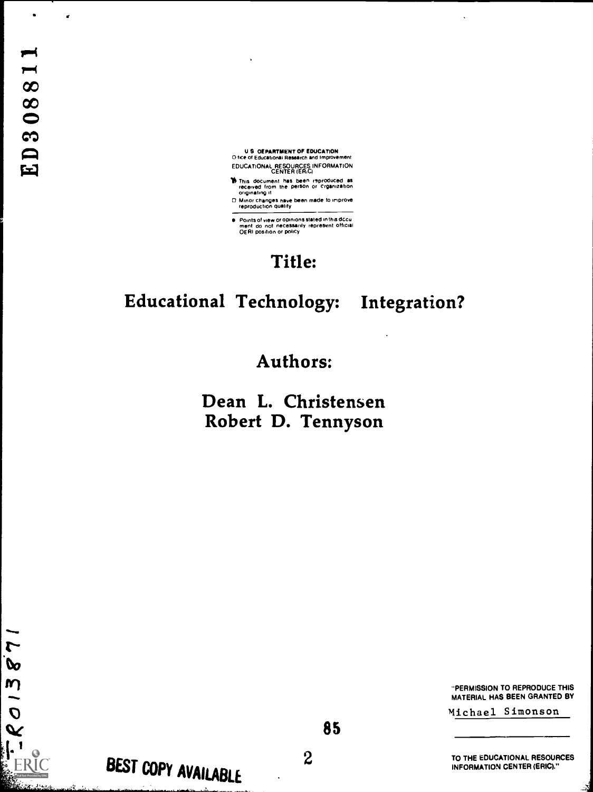$\bullet$ 

e

U **S** OEPARTMENT OF EDUCATION<br>O fice of Educational Research and Improvement EDUCATIONAL RESOURCES INFORMATION CENTER (ERIC)

**This document has been reproduced as<br>received from the person or crganization**<br>originating it

Minor changes have been made to improve reproduction Quality

Points of view or opinions stated in this dccu<br>ment ido: not: necessarily represent official<br>OERI position or policy

Title:

# Educational Technology: Integration?

Authors:

Dean L. Christensen Robert D. Tennyson

 $87$  $\frac{1}{\sigma}$  $\boldsymbol{\alpha}$  $\left\{ \cdot \right\}$ 

"PERMISSION TO REPRODUCE THIS MATERIAL HAS BEEN GRANTED BY

Michael Simonson

BEST COPY AVAILABLE 2

TO THE EDUCATIONAL RESOURCES INFORMATION CENTER (ERIC)."

-2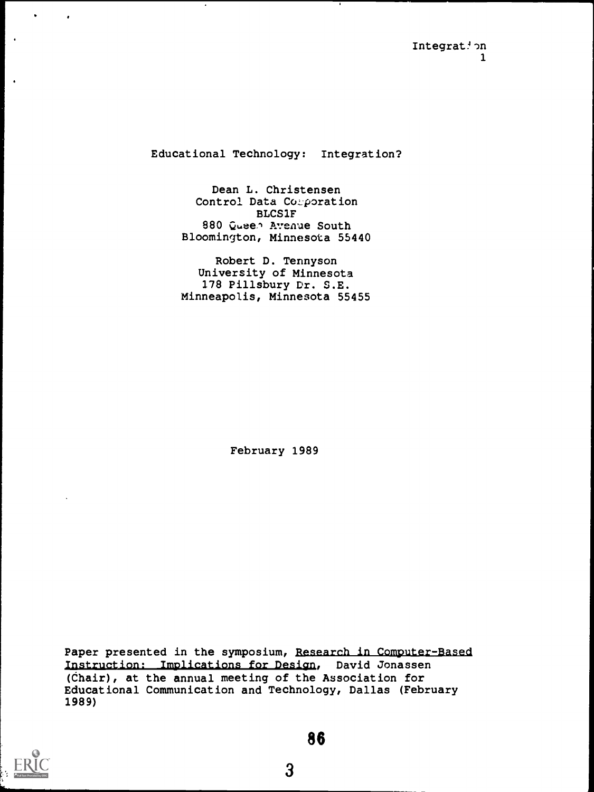Integrat!on 1

Educational Technology: Integration?

Dean L. Christensen Control Data Comporation BLCS1F 880 Queen Avenue South Bloomington, Minnesota 55440

Robert D. Tennyson University of Minnesota 178 Pillsbury Dr. S.E. Minneapolis, Minnesota 55455

February 1989

Paper presented in the symposium, Research in Computer-Based Instruction: Implications for Design, David Jonassen (Chair), at the annual meeting of the Association for Educational Communication and Technology, Dallas (February 1989)



 $\bullet$  -  $\bullet$  -  $\bullet$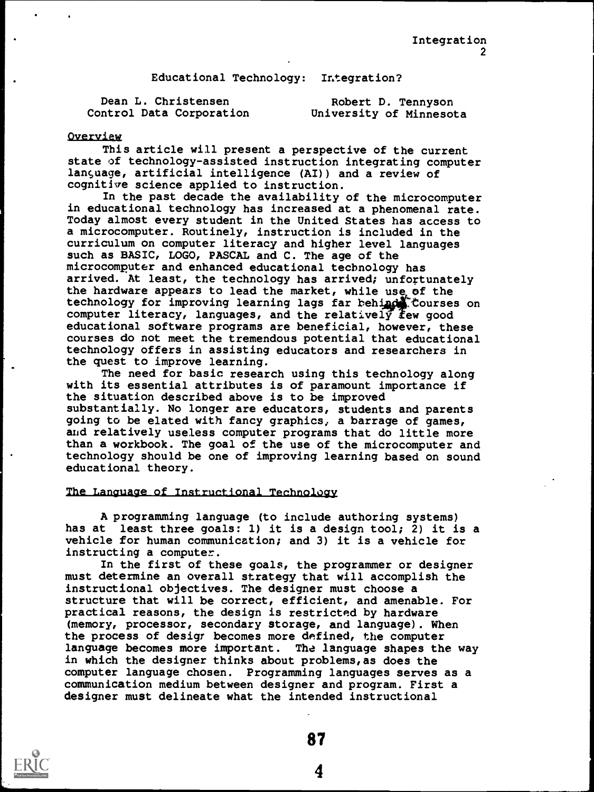Educational Technology: Integration?

Dean L. Christensen and Robert D. Tennyson Control Data Corporation University of Minnesota

## Overview

This article will present a perspective of the current state of technology-assisted instruction integrating computer lançuage, artificial intelligence (AI)) and a review of cognitive science applied to instruction.

In the past decade the availability of the microcomputer in educational technology has increased at a phenomenal rate. Today almost every student in the United States has access to a microcomputer. Routinely, instruction is included in the curriculum on computer literacy and higher level languages such as BASIC, LOGO, PASCAL and C. The age of the microcomputer and enhanced educational technology has arrived. At least, the technology has arrived; unfortunately the hardware appears to lead the market, while use of the technology for improving learning lags far behind tourses on computer literacy, languages, and the relatively few good educational software programs are beneficial, however, these courses do not meet the tremendous potential that educational technology offers in assisting educators and researchers in the quest to improve learning.

The need for basic research using this technology along with its essential attributes is of paramount importance if the situation described above is to be improved substantially. No longer are educators, students and parents going to be elated with fancy graphics, a barrage of games, aud relatively useless computer programs that do little more than a workbook. The goal of the use of the microcomputer and technology should be one of improving learning based on sound educational theory.

## The Language of Instructional Technology

A programming language (to include authoring systems) has at least three goals: 1) it is a design tool; 2) it is a vehicle for human communication; and 3) it is a vehicle for instructing a computer.

In the first of these goals, the programmer or designer must determine an overall strategy that will accomplish the instructional objectives. The designer must choose a structure that will be correct, efficient, and amenable. For practical reasons, the design is restricted by hardware (memory, processor, secondary storage, and language). When the process of desigr becomes more defined, the computer language becomes more important. The language shapes the way in which the designer thinks about problems,as does the computer language chosen. Programming languages serves as a communication medium between designer and program. First a designer must delineate what the intended instructional

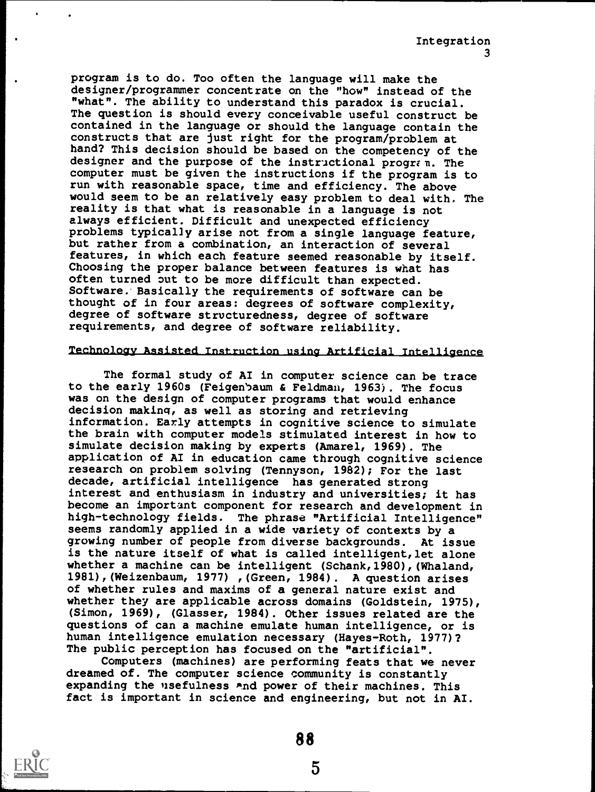Integration 3

program is to do. Too often the language will make the designer/programmer concentrate on the "how" instead of the "what". The ability to understand this paradox is crucial. The question is should every conceivable useful construct be contained in the language or should the language contain the constructs that are just right for the program/problem at hand? This decision should be based on the competency of the designer and the purpose of the instructional program. The computer must be given the instructions if the program is to run with reasonable space, time and efficiency. The above would seem to be an relatively easy problem to deal with. The reality is that what is reasonable in a language is not always efficient. Difficult and unexpected efficiency problems typically arise not from a single language feature, but rather from a combination, an interaction of several features, in which each feature seemed reasonable by itself. Choosing the proper balance between features is what has often turned out to be more difficult than expected. Software. Basically the requirements of software can be thought of in four areas: degrees of software complexity, degree of software structuredness, degree of software requirements, and degree of software reliability.

## Technology Assisted Instruction using Artificial Intelligence

The formal study of AI in computer science can be trace to the early 1960s (Feigen'oaum & Feldman, 1963). The focus was on the design of computer programs that would enhance decision making, as well as storing and retrieving information. Early attempts in cognitive science to simulate the brain with computer models stimulated interest in how to simulate decision making by experts (Amarel, 1969). The application of AI in education came through cognitive science research on problem solving (Tennyson, 1982); For the last decade, artificial intelligence has generated strong interest and enthusiasm in industry and universities; it has become an important component for research and development in high-technology fields. The phrase "Artificial Intelligence" seems randomly applied in a wide variety of contexts by a growing number of people from diverse backgrounds. At issue is the nature itself of what is called intelligent,let alone whether a machine can be intelligent (Schank,1980),(Whaland, 1981),(Weizenbaum, 1977) ,(Green, 1984). A question arises of whether rules and maxims of a general nature exist and whether they are applicable across domains (Goldstein, 1975), (Simon, 1969), (Glasser, 1984). Other issues related are the questions of can a machine emulate human intelligence, or is human intelligence emulation necessary (Hayes-Roth, 1977)? The public perception has focused on the "artificial".

Computers (machines) are performing feats that we never dreamed of. The computer science community is constantly expanding the usefulness and power of their machines. This fact is important in science and engineering, but not in AI.

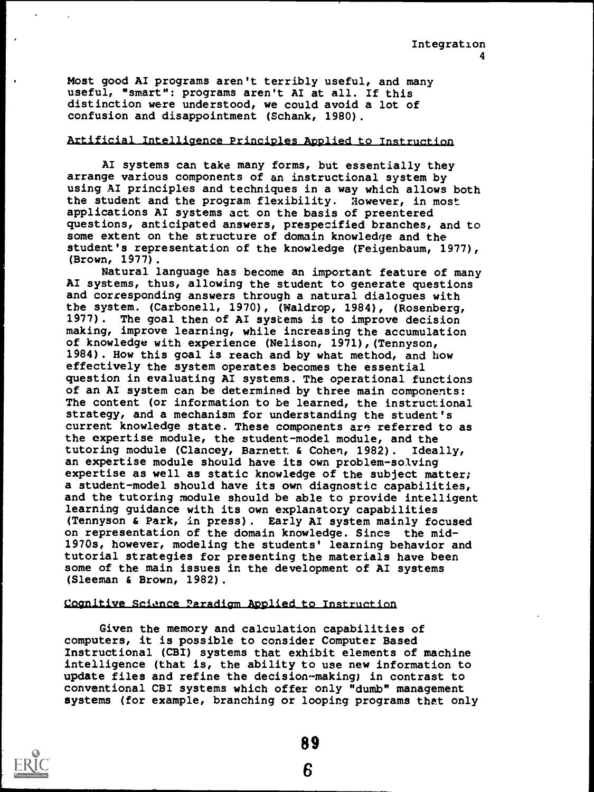Most good AI programs aren't terribly useful, and many useful, "smart": programs aren't AI at all. If this distinction were understood, we could avoid a lot of confusion and disappointment (Schank, 1980).

## Artificial Intelligence Principles Applied to Instruction

AI systems can take many forms, but essentially they arrange various components of an instructional system by using AI principles and techniques in a way which allows both the student and the program flexibility. However, in most applications AI systems act on the basis of preentered questions, anticipated answers, prespecified branches, and to some extent on the structure of domain knowledge and the student's representation of the knowledge (Feigenbaum, 1977), (Brown, 1977) .

Natural language has become an important feature of many AI systems, thus, allowing the student to generate questions and corresponding answers through a natural dialogues with the system. (Carbonell, 1970), (Waldrop, 1984), (Rosenberg, 1977). The goal then of AI systems is to improve decision making, improve learning, while increasing the accumulation of knowledge with experience (Nelison, 1971),(Tennyson, 1984). How this goal is reach and by what method, and how effectively the system operates becomes the essential question in evaluating AI systems. The operational functions of an AI system can be determined by three main components: The content (or information to be learned, the instructional strategy, and a mechanism for understanding the student's current knowledge state. These components are referred to as the expertise module, the student-model module, and the tutoring module (Clancey, Barnett & Cohen, 1982). Ideally, an expertise module should have its own problem-solving expertise as well as static knowledge of the subject matter; a student-model should have its own diagnostic capabilities, and the tutoring module should be able to provide intelligent learning guidance with its own explanatory capabilities (Tennyson & Park, in press). Early AI system mainly focused on representation of the domain knowledge. Since the mid-1970s, however, modeling the students' learning behavior and tutorial strategies for presenting the materials have been some of the main issues in the development of AI systems (Sleeman & Brown, 1982).

## Cognitive Science Paradigm Applied to Instruction

Given the memory and calculation capabilities of computers, it is possible to consider Computer Based Instructional (CBI) systems that exhibit elements of machine intelligence (that is, the ability to use new information to update files and refine the decision-making) in contrast to conventional CBI systems which offer only "dumb" management systems (for example, branching or looping programs that only

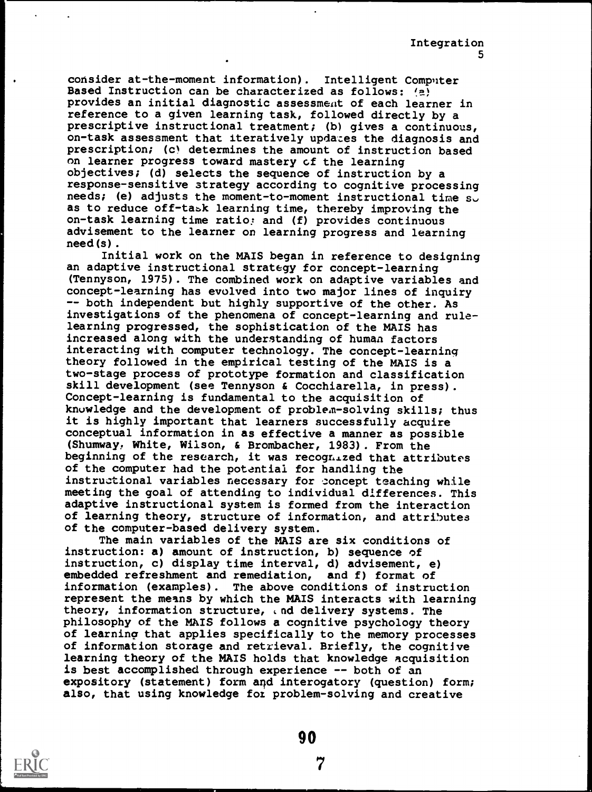consider at-the-moment information). Intelligent Computer Based Instruction can be characterized as follows:  $\binom{n}{2}$ provides an initial diagnostic assessment of each learner in reference to a given learning task, followed directly by a prescriptive instructional treatment; (b) gives a continuous, on-task assessment that iteratively updazes the diagnosis and prescription; (c) determines the amount of instruction based on learner progress toward mastery of the learning objectives; (d) selects the sequence of instruction by a response-sensitive strategy according to cognitive processing needs; (e) adjusts the moment-to-moment instructional time  $s \circ$ as to reduce off-task learning time, thereby improving the on-task learning time ratio: and (f) provides continuous advisement to the learner on learning progress and learning need(s).

Initial work on the MAIS began in reference to designing an adaptive instructional strategy for concept-learning (Tennyson, 1975). The combined work on adaptive variables and concept-learning has evolved into two major lines of inquiry -- both independent but highly supportive of the other. As investigations of the phenomena of concept-learning and rulelearning progressed, the sophistication of the MAIS has increased along with the understanding of human factors interacting with computer technology. The concept-learning theory followed in the empirical testing of the MAIS is a two-stage process of prototype formation and classification skill development (see Tennyson & Cocchiarella, in press). Concept-learning is fundamental to the acquisition of knowledge and the development of problem-solving skills; thus it is highly important that learners successfully acquire conceptual information in as effective a manner as possible (Shumway, White, Wilson, & Brombacher, 1983). From the beginning of the research, it was recognized that attributes of the computer had the potential for handling the instructional variables necessary for concept teaching while meeting the goal of attending to individual differences. This adaptive instructional system is formed from the interaction of learning theory, structure of information, and attributes of the computer-based delivery system.

The main variables of the MAIS are six conditions of instruction: a) amount of instruction, b) sequence of instruction, c) display time interval, d) advisement, e) embedded refreshment and remediation, and f) format of information (examples). The above conditions of instruction represent the means by which the MAIS interacts with learning theory, information structure, and delivery systems. The philosophy of the MAIS follows a cognitive psychology theory of learning that applies specifically to the memory processes of information storage and retrieval. Briefly, the cognitive learning theory of the MAIS holds that knowledge ncquisition is best accomplished through experience -- both of an expository (statement) form and interogatory (question) form; also, that using knowledge for. problem-solving and creative

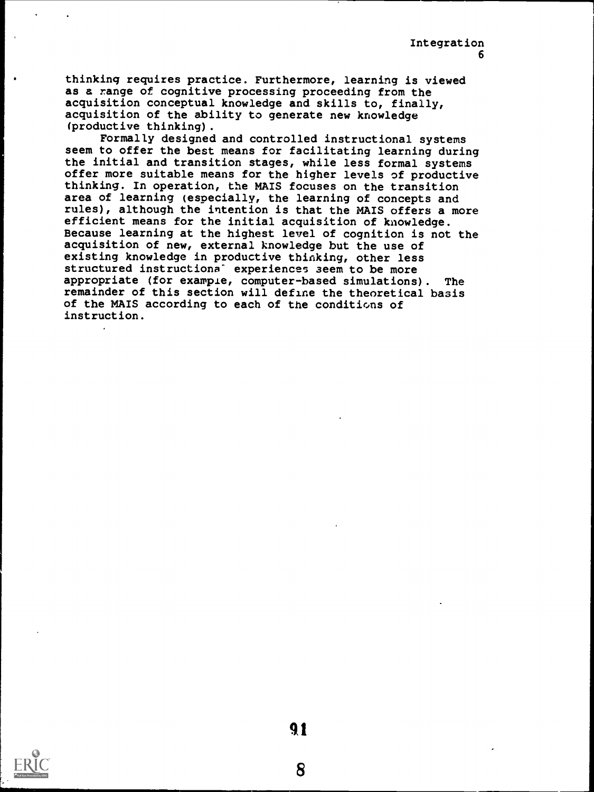thinking requires practice. Furthermore, learning is viewed as a range of cognitive processing proceeding from the acquisition conceptual knowledge and skills to, finally, acquisition of the ability to generate new knowledge (productive thinking).

Formally designed and controlled instructional systems seem to offer the best means for facilitating learning during the initial and transition stages, while less formal systems offer more suitable means for the higher levels of productive thinking. In operation, the MAIS focuses on the transition area of learning (especially, the learning of concepts and rules), although the intention is that the MAIS offers a more efficient means for the initial acquisition of knowledge. Because learning at the highest level of cognition is not the acquisition of new, external knowledge but the use of existing knowledge in productive thinking, other less structured instructiona<sup>-</sup> experiences seem to be more appropriate (for example, computer-based simulations). The remainder of this section will define the theoretical basis of the MAIS according to each of the conditions of instruction.

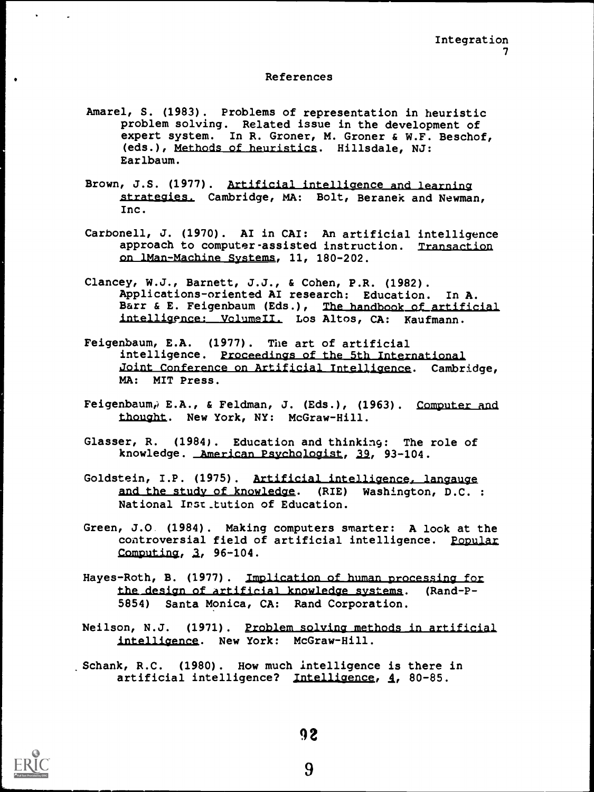#### References

- Amarel, S. (1983). Problems of representation in heuristic problem solving. Related issue in the development of expert system. In R. Groner, M. Groner & W.F. Beschof, (eds.), Methods of heuristics. Hillsdale, NJ: Earlbaum.
- Brown, J.S. (1977). Artificial intelligence and learning strategies. Cambridge, MA: Bolt, Beranek and Newman, Inc.
- Carbonell, J. (1970). AI in CAI: An artificial intelligence approach to computer-assisted instruction. Transaction on 1Man-Machine Systeme, 11, 180-202.
- Clancey, W.J., Barnett, J.J., & Cohen, P.R. (1982). Applications-oriented AI research: Education. In A. Barr & E. Feigenbaum (Eds.), The handbook of artificial intelligence; VclumeII. Los Altos, CA: Kaufmann.
- Feigenbaum, E.A. (1977). The art of artificial intelligence. proceedings of the 5th International Joint Conference on Artificial Intelligence. Cambridge, MA: MIT Press.
- Feigenbaum, E.A., & Feldman, J. (Eds.), (1963). Computer and thought. New York, NY: McGraw-Hill.
- Glasser, R. (1984). Education and thinking: The role of knowledge. American Psychologist, 39, 93-104.
- Goldstein, I.P. (1975). Artificial intelligence, langauge and the study of knowledge. (RIE) Washington, D.C. : National Inst\_tution of Education.
- Green, J.0 (1984). Making computers smarter: A look at the controversial field of artificial intelligence. popular Computing,  $3, 96-104$ .
- Hayes-Roth, B. (1977). Implication of human processing for the design of artificial knowledge systems. (Rand-P-5854) Santa Monica, CA: Rand Corporation.
- Neilson, N.J. (1971). Problem solving methods in artificial intelligence. New York: McGraw-Hill.
- .Schank, R.C. (1980). How much intelligence is there in artificial intelligence? Intelligence, 4, 80-85.



 $\mathbf{v} = \mathbf{0}$ 

 $\sim$